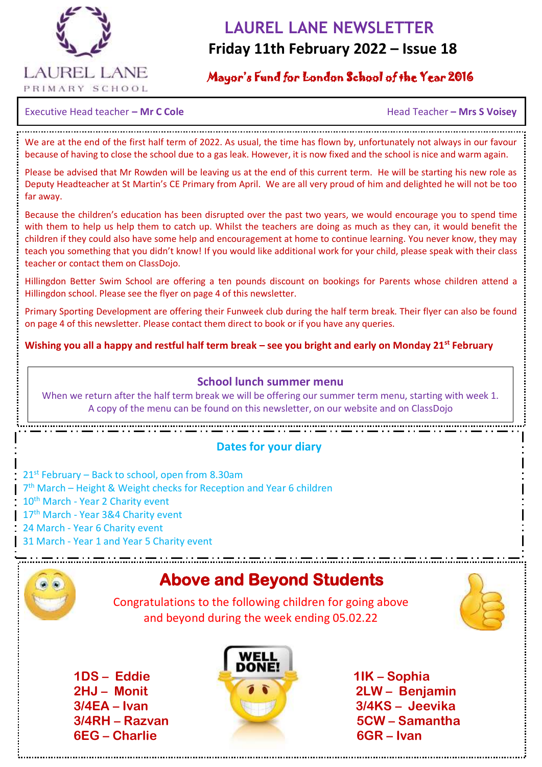

# **LAUREL LANE NEWSLETTER Friday 11th February 2022 – Issue 18**

## Mayor's Fund for London School of the Year 2016

 $\overline{a}$ 

Executive Head teacher – **Mr C Cole Accord 2018 12 Accord 2018 12 Accord 2018 12 Accord 2018 12 Accord 2018 12 Accord 2018 12 Accord 2018 12 Accord 2019 12 Accord 2019 12 Accord 2019 12 Accord 2019 12 Accord 2019 12 Acco** 

We are at the end of the first half term of 2022. As usual, the time has flown by, unfortunately not always in our favour because of having to close the school due to a gas leak. However, it is now fixed and the school is nice and warm again.

Please be advised that Mr Rowden will be leaving us at the end of this current term. He will be starting his new role as Deputy Headteacher at St Martin's CE Primary from April. We are all very proud of him and delighted he will not be too far away.

Because the children's education has been disrupted over the past two years, we would encourage you to spend time with them to help us help them to catch up. Whilst the teachers are doing as much as they can, it would benefit the children if they could also have some help and encouragement at home to continue learning. You never know, they may teach you something that you didn't know! If you would like additional work for your child, please speak with their class teacher or contact them on ClassDojo.

Hillingdon Better Swim School are offering a ten pounds discount on bookings for Parents whose children attend a Hillingdon school. Please see the flyer on page 4 of this newsletter.

Primary Sporting Development are offering their Funweek club during the half term break. Their flyer can also be found on page 4 of this newsletter. Please contact them direct to book or if you have any queries.

**Wishing you all a happy and restful half term break – see you bright and early on Monday 21st February**

#### **School lunch summer menu**

When we return after the half term break we will be offering our summer term menu, starting with week 1. A copy of the menu can be found on this newsletter, on our website and on ClassDojo

#### **Dates for your diary**

21st February – Back to school, open from 8.30am 7<sup>th</sup> March – Height & Weight checks for Reception and Year 6 children 10<sup>th</sup> March - Year 2 Charity event 17<sup>th</sup> March - Year 3&4 Charity event 24 March - Year 6 Charity event 31 March - Year 1 and Year 5 Charity event



# **Above and Beyond Students**

 Congratulations to the following children for going above and beyond during the week ending 05.02.22



 **1DS – Eddie 1IK – Sophia 6EG – Charlie 6GR – Ivan** 



 **2HJ – Monit 2LW – Benjamin 3/4EA – Ivan 3/4KS – Jeevika 3/4RH – Razvan 5CW – Samantha**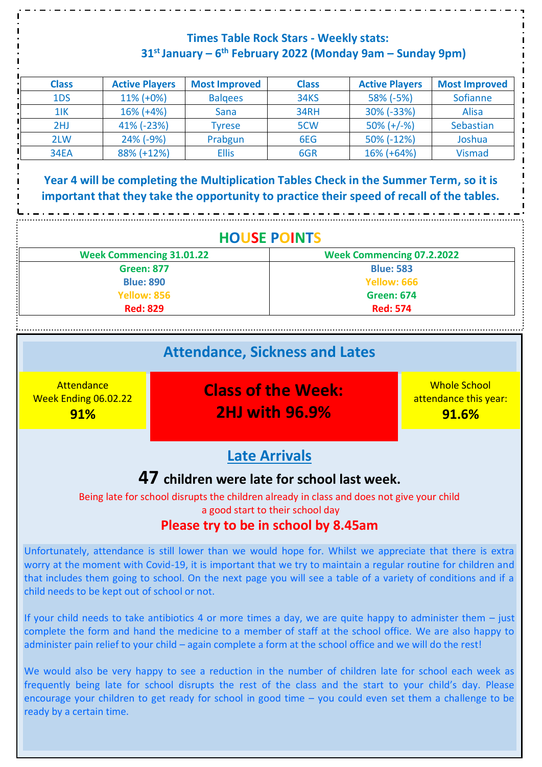### **Times Table Rock Stars - Weekly stats: 31st January – 6 th February 2022 (Monday 9am – Sunday 9pm)**

| <b>Class</b> | <b>Active Players</b> | <b>Most Improved</b> | <b>Class</b> | <b>Active Players</b> | <b>Most Improved</b> |
|--------------|-----------------------|----------------------|--------------|-----------------------|----------------------|
| 1DS          | $11\%$ (+0%)          | <b>Balgees</b>       | <b>34KS</b>  | 58% (-5%)             | Sofianne             |
| $1$ IK       | $16\%$ (+4%)          | Sana                 | 34RH         | 30% (-33%)            | <b>Alisa</b>         |
| 2HJ          | 41% (-23%)            | <b>Tyrese</b>        | 5CW          | $50\% (+/-\%)$        | Sebastian            |
| 2LW          | $24\%$ (-9%)          | Prabgun              | 6EG          | 50% (-12%)            | Joshua               |
| <b>34EA</b>  | 88% (+12%)            | <b>Ellis</b>         | 6GR          | 16% (+64%)            | <b>Vismad</b>        |

**Year 4 will be completing the Multiplication Tables Check in the Summer Term, so it is important that they take the opportunity to practice their speed of recall of the tables.**

| <b>HOUSE POINTS</b> |  |
|---------------------|--|
|                     |  |

| <b>Week Commencing 31.01.22</b> | <b>Week Commencing 07.2.2022</b> |
|---------------------------------|----------------------------------|
| <b>Green: 877</b>               | <b>Blue: 583</b>                 |
| <b>Blue: 890</b>                | Yellow: 666                      |
| Yellow: 856                     | <b>Green: 674</b>                |
| <b>Red: 829</b>                 | <b>Red: 574</b>                  |

. . . . . . . . .

|                                                         | <b>Attendance, Sickness and Lates</b>                                                     |                                                       |
|---------------------------------------------------------|-------------------------------------------------------------------------------------------|-------------------------------------------------------|
| Attendance<br><b>Week Ending 06.02.22</b><br><b>91%</b> | <b>Class of the Week:</b><br><b>2HJ with 96.9%</b>                                        | <b>Whole School</b><br>attendance this year:<br>91.6% |
|                                                         | <b>Late Arrivals</b>                                                                      |                                                       |
|                                                         | 47 children were late for school last week.                                               |                                                       |
|                                                         | Being late for school disrupts the children already in class and does not give your child |                                                       |

a good start to their school day

# **Please try to be in school by 8.45am**

Unfortunately, attendance is still lower than we would hope for. Whilst we appreciate that there is extra worry at the moment with Covid-19, it is important that we try to maintain a regular routine for children and that includes them going to school. On the next page you will see a table of a variety of conditions and if a child needs to be kept out of school or not.

If your child needs to take antibiotics 4 or more times a day, we are quite happy to administer them  $-$  just complete the form and hand the medicine to a member of staff at the school office. We are also happy to administer pain relief to your child – again complete a form at the school office and we will do the rest!

We would also be very happy to see a reduction in the number of children late for school each week as frequently being late for school disrupts the rest of the class and the start to your child's day. Please encourage your children to get ready for school in good time – you could even set them a challenge to be ready by a certain time.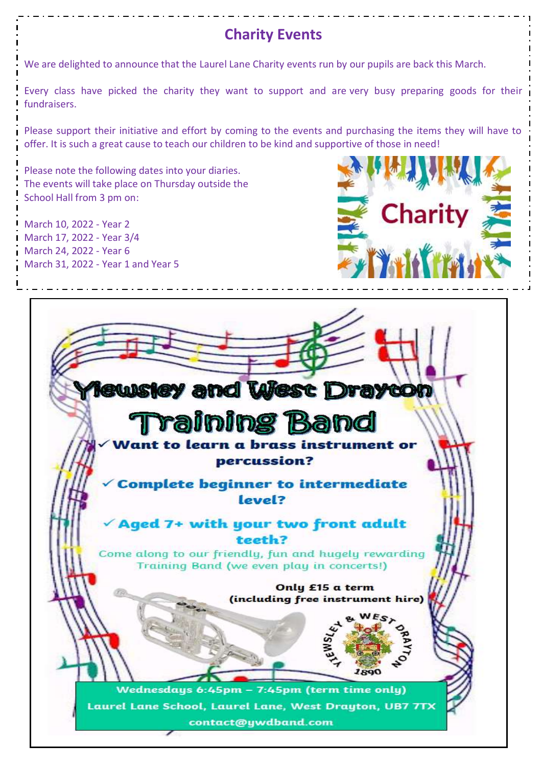# **Charity Events**

We are delighted to announce that the Laurel Lane Charity events run by our pupils are back this March.

Every class have picked the charity they want to support and are very busy preparing goods for their fundraisers.

Please support their initiative and effort by coming to the events and purchasing the items they will have to offer. It is such a great cause to teach our children to be kind and supportive of those in need!

Please note the following dates into your diaries. The events will take place on Thursday outside the School Hall from 3 pm on:

March 10, 2022 - Year 2 March 17, 2022 - Year 3/4 March 24, 2022 - Year 6 March 31, 2022 - Year 1 and Year 5



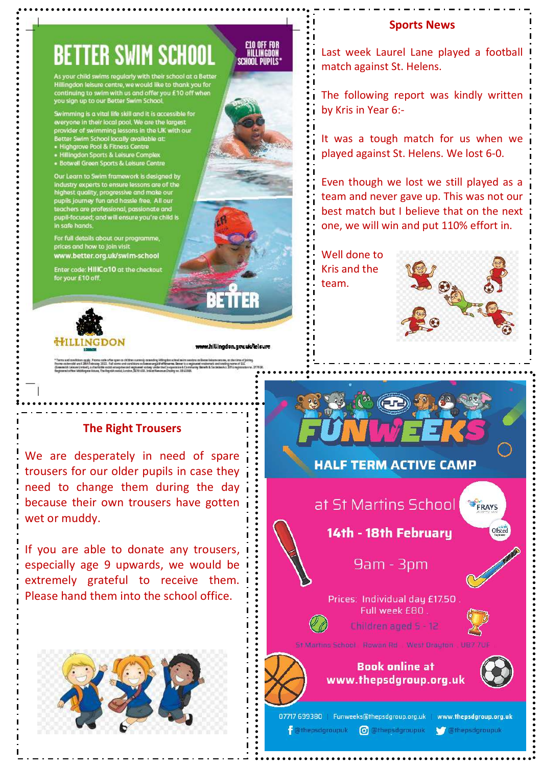#### **Sports News**

# **BETTER SWIM SCHOOL**

our child swims regularly with their school at a Hillingdon leisure centre, we would like to thank you for continuing to swim with us and offer you £10 off when<br>you sign up to our Better Swim School.

Swimming is a vital life skill and it is accessible for<br>everyone in their local pool. We are the largest<br>provider of swimming lessons in the UK with our Better Swimming ressurs in the OK<br>Better Swim School locally available at:<br>• Highgrove Pool & Fitness Centre

- 
- Highgrove Foot & Haness centre<br>- Hillingdon Sports & Leisure Complex<br>- Botwell Green Sports & Leisure Centre

Our Learn to Swim framework is designed by Our Learn to Swim framework is aesigned by<br>industry experts to ensure lessons are of the<br>highest quality, progressive and make our pupils journey fun and hassle free. All our<br>teachers are professional, passionate and<br>pupil-focused; and will ensure you're child is in safe hands

For full details about our programme, prices and how to join visit www.better.org.uk/swim-school

Enter code: HIIICo10 at the checkout for your £10 off.



www.hillingdon.gov.uk/lelsure

RETTER

#### **The Right Trousers**

We are desperately in need of spare trousers for our older pupils in case they need to change them during the day because their own trousers have gotten wet or muddy.

If you are able to donate any trousers, i especially age 9 upwards, we would be extremely grateful to receive them. Please hand them into the school office.



#### **E10 OFF FOR**<br>Hillingdon **SCHOOL PUPILS**

Last week Laurel Lane played a football match against St. Helens.

The following report was kindly written by Kris in Year 6:-

It was a tough match for us when we played against St. Helens. We lost 6-0.

Even though we lost we still played as a team and never gave up. This was not our best match but I believe that on the next one, we will win and put 110% effort in.

Well done to Kris and the team.